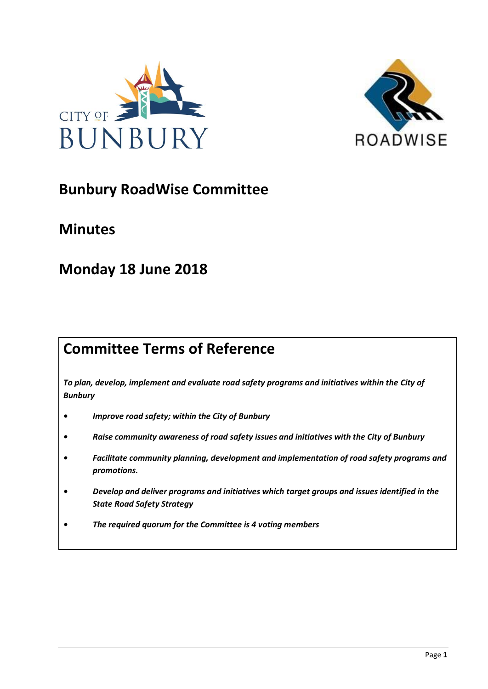



# **Bunbury RoadWise Committee**

## **Minutes**

# **Monday 18 June 2018**

# **Committee Terms of Reference**

*To plan, develop, implement and evaluate road safety programs and initiatives within the City of Bunbury*

- *• Improve road safety; within the City of Bunbury*
- *• Raise community awareness of road safety issues and initiatives with the City of Bunbury*
- *• Facilitate community planning, development and implementation of road safety programs and promotions.*
- *• Develop and deliver programs and initiatives which target groups and issues identified in the State Road Safety Strategy*
- *• The required quorum for the Committee is 4 voting members*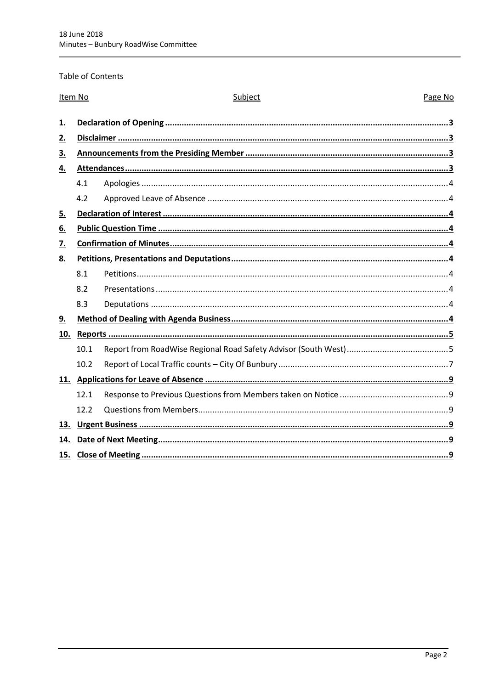Table of Contents

| Item No   |      | Subject | Page No |  |
|-----------|------|---------|---------|--|
| 1.        |      |         |         |  |
| 2.        |      |         |         |  |
| 3.        |      |         |         |  |
| <u>4.</u> |      |         |         |  |
|           | 4.1  |         |         |  |
|           | 4.2  |         |         |  |
| 5.        |      |         |         |  |
| <u>6.</u> |      |         |         |  |
| <u>7.</u> |      |         |         |  |
| <u>8.</u> |      |         |         |  |
|           | 8.1  |         |         |  |
|           | 8.2  |         |         |  |
|           | 8.3  |         |         |  |
| 9.        |      |         |         |  |
| 10.       |      |         |         |  |
|           | 10.1 |         |         |  |
|           | 10.2 |         |         |  |
|           |      |         |         |  |
|           | 12.1 |         |         |  |
|           | 12.2 |         |         |  |
| 13.       |      |         |         |  |
| 14.       |      |         |         |  |
| 15.       |      |         |         |  |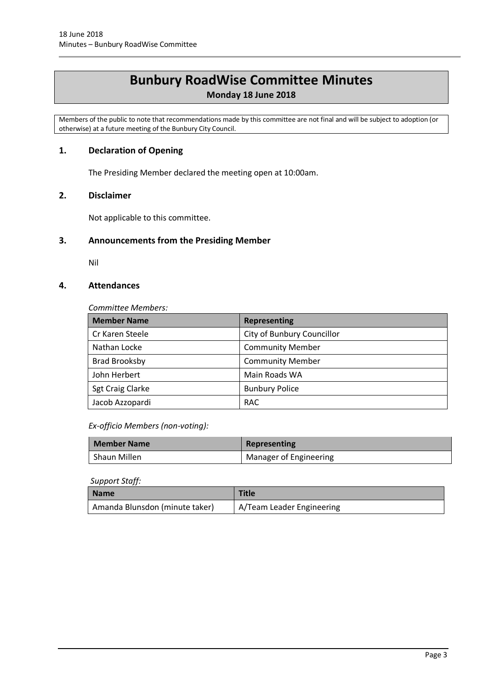## **Bunbury RoadWise Committee Minutes**

**Monday 18 June 2018**

Members of the public to note that recommendations made by this committee are not final and will be subject to adoption (or otherwise) at a future meeting of the Bunbury City Council.

## <span id="page-2-0"></span>**1. Declaration of Opening**

The Presiding Member declared the meeting open at 10:00am.

## <span id="page-2-1"></span>**2. Disclaimer**

Not applicable to this committee.

## <span id="page-2-2"></span>**3. Announcements from the Presiding Member**

Nil

## <span id="page-2-3"></span>**4. Attendances**

*Committee Members:*

| <b>Member Name</b>      | <b>Representing</b>        |
|-------------------------|----------------------------|
| Cr Karen Steele         | City of Bunbury Councillor |
| Nathan Locke            | <b>Community Member</b>    |
| <b>Brad Brooksby</b>    | <b>Community Member</b>    |
| John Herbert            | Main Roads WA              |
| <b>Sgt Craig Clarke</b> | <b>Bunbury Police</b>      |
| Jacob Azzopardi         | <b>RAC</b>                 |

*Ex-officio Members (non-voting):*

| <b>Member Name</b> | Representing           |
|--------------------|------------------------|
| Shaun Millen       | Manager of Engineering |

#### *Support Staff:*

| <b>Name</b>                    | <b>Title</b>              |
|--------------------------------|---------------------------|
| Amanda Blunsdon (minute taker) | A/Team Leader Engineering |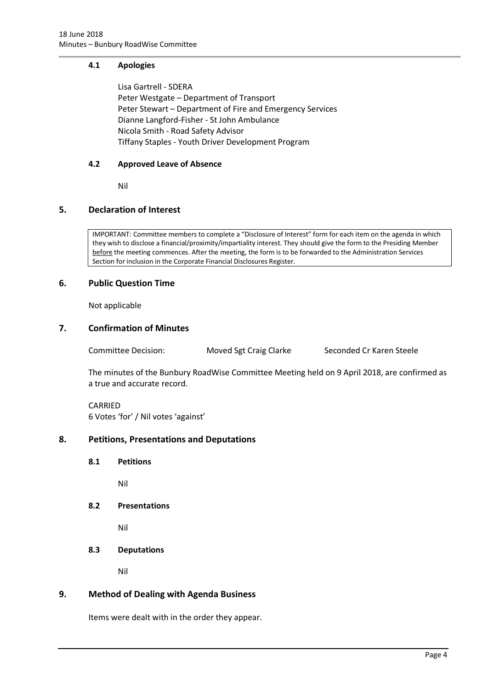## <span id="page-3-0"></span>**4.1 Apologies**

Lisa Gartrell - SDERA Peter Westgate – Department of Transport Peter Stewart – Department of Fire and Emergency Services Dianne Langford-Fisher - St John Ambulance Nicola Smith - Road Safety Advisor Tiffany Staples - Youth Driver Development Program

#### <span id="page-3-1"></span>**4.2 Approved Leave of Absence**

Nil

## <span id="page-3-2"></span>**5. Declaration of Interest**

IMPORTANT: Committee members to complete a "Disclosure of Interest" form for each item on the agenda in which they wish to disclose a financial/proximity/impartiality interest. They should give the form to the Presiding Member before the meeting commences. After the meeting, the form is to be forwarded to the Administration Services Section for inclusion in the Corporate Financial Disclosures Register.

## <span id="page-3-3"></span>**6. Public Question Time**

Not applicable

## <span id="page-3-4"></span>**7. Confirmation of Minutes**

Committee Decision: Moved Sgt Craig Clarke Seconded Cr Karen Steele

The minutes of the Bunbury RoadWise Committee Meeting held on 9 April 2018, are confirmed as a true and accurate record.

CARRIED 6 Votes 'for' / Nil votes 'against'

#### <span id="page-3-6"></span><span id="page-3-5"></span>**8. Petitions, Presentations and Deputations**

**8.1 Petitions**

Nil

<span id="page-3-7"></span>**8.2 Presentations**

Nil

<span id="page-3-8"></span>**8.3 Deputations**

Nil

## <span id="page-3-9"></span>**9. Method of Dealing with Agenda Business**

Items were dealt with in the order they appear.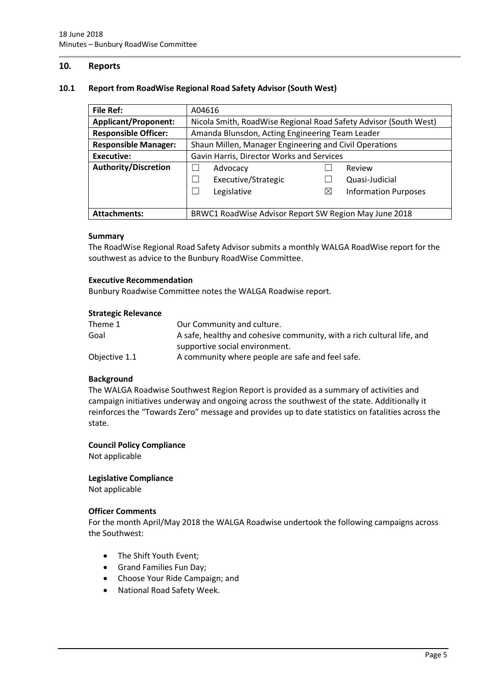## <span id="page-4-0"></span>**10. Reports**

#### <span id="page-4-1"></span>**10.1 Report from RoadWise Regional Road Safety Advisor (South West)**

| <b>File Ref:</b>            | A04616                                                           |   |                             |
|-----------------------------|------------------------------------------------------------------|---|-----------------------------|
| <b>Applicant/Proponent:</b> | Nicola Smith, RoadWise Regional Road Safety Advisor (South West) |   |                             |
| <b>Responsible Officer:</b> | Amanda Blunsdon, Acting Engineering Team Leader                  |   |                             |
| <b>Responsible Manager:</b> | Shaun Millen, Manager Engineering and Civil Operations           |   |                             |
| Executive:                  | Gavin Harris, Director Works and Services                        |   |                             |
| <b>Authority/Discretion</b> | Advocacy                                                         |   | Review                      |
|                             | Executive/Strategic                                              |   | Quasi-Judicial              |
|                             | Legislative                                                      | ⊠ | <b>Information Purposes</b> |
|                             |                                                                  |   |                             |
| <b>Attachments:</b>         | BRWC1 RoadWise Advisor Report SW Region May June 2018            |   |                             |

#### **Summary**

The RoadWise Regional Road Safety Advisor submits a monthly WALGA RoadWise report for the southwest as advice to the Bunbury RoadWise Committee.

#### **Executive Recommendation**

Bunbury Roadwise Committee notes the WALGA Roadwise report.

#### **Strategic Relevance**

| Theme 1       | Our Community and culture.                                             |
|---------------|------------------------------------------------------------------------|
| Goal          | A safe, healthy and cohesive community, with a rich cultural life, and |
|               | supportive social environment.                                         |
| Objective 1.1 | A community where people are safe and feel safe.                       |

#### **Background**

The WALGA Roadwise Southwest Region Report is provided as a summary of activities and campaign initiatives underway and ongoing across the southwest of the state. Additionally it reinforces the "Towards Zero" message and provides up to date statistics on fatalities across the state.

#### **Council Policy Compliance**

Not applicable

#### **Legislative Compliance**

Not applicable

#### **Officer Comments**

For the month April/May 2018 the WALGA Roadwise undertook the following campaigns across the Southwest:

- The Shift Youth Event;
- Grand Families Fun Day;
- Choose Your Ride Campaign; and
- National Road Safety Week.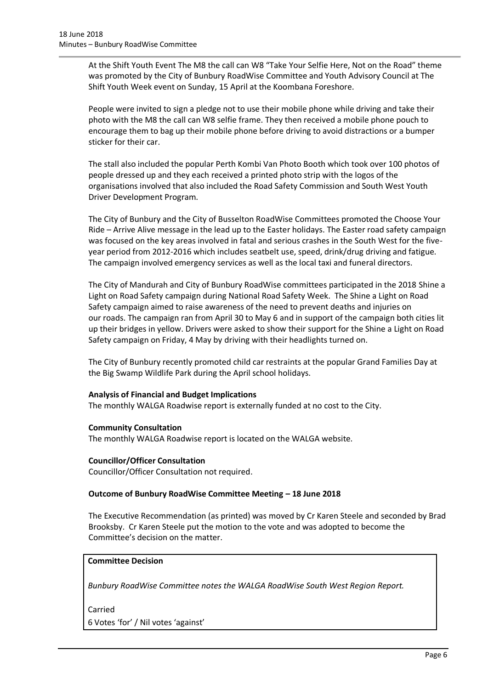At the Shift Youth Event The M8 the call can W8 "Take Your Selfie Here, Not on the Road" theme was promoted by the City of Bunbury RoadWise Committee and Youth Advisory Council at The Shift Youth Week event on Sunday, 15 April at the Koombana Foreshore.

People were invited to sign a pledge not to use their mobile phone while driving and take their photo with the M8 the call can W8 selfie frame. They then received a mobile phone pouch to encourage them to bag up their mobile phone before driving to avoid distractions or a bumper sticker for their car.

The stall also included the popular Perth Kombi Van Photo Booth which took over 100 photos of people dressed up and they each received a printed photo strip with the logos of the organisations involved that also included the Road Safety Commission and South West Youth Driver Development Program.

The City of Bunbury and the City of Busselton RoadWise Committees promoted the Choose Your Ride – Arrive Alive message in the lead up to the Easter holidays. The Easter road safety campaign was focused on the key areas involved in fatal and serious crashes in the South West for the fiveyear period from 2012-2016 which includes seatbelt use, speed, drink/drug driving and fatigue. The campaign involved emergency services as well as the local taxi and funeral directors.

The City of Mandurah and City of Bunbury RoadWise committees participated in the 2018 Shine a Light on Road Safety campaign during National Road Safety Week. The Shine a Light on Road Safety campaign aimed to raise awareness of the need to prevent deaths and injuries on our roads. The campaign ran from April 30 to May 6 and in support of the campaign both cities lit up their bridges in yellow. Drivers were asked to show their support for the Shine a Light on Road Safety campaign on Friday, 4 May by driving with their headlights turned on.

The City of Bunbury recently promoted child car restraints at the popular Grand Families Day at the Big Swamp Wildlife Park during the April school holidays.

## **Analysis of Financial and Budget Implications**

The monthly WALGA Roadwise report is externally funded at no cost to the City.

#### **Community Consultation**

The monthly WALGA Roadwise report is located on the WALGA website.

#### **Councillor/Officer Consultation**

Councillor/Officer Consultation not required.

#### **Outcome of Bunbury RoadWise Committee Meeting – 18 June 2018**

The Executive Recommendation (as printed) was moved by Cr Karen Steele and seconded by Brad Brooksby. Cr Karen Steele put the motion to the vote and was adopted to become the Committee's decision on the matter.

## **Committee Decision**

*Bunbury RoadWise Committee notes the WALGA RoadWise South West Region Report.* 

Carried

6 Votes 'for' / Nil votes 'against'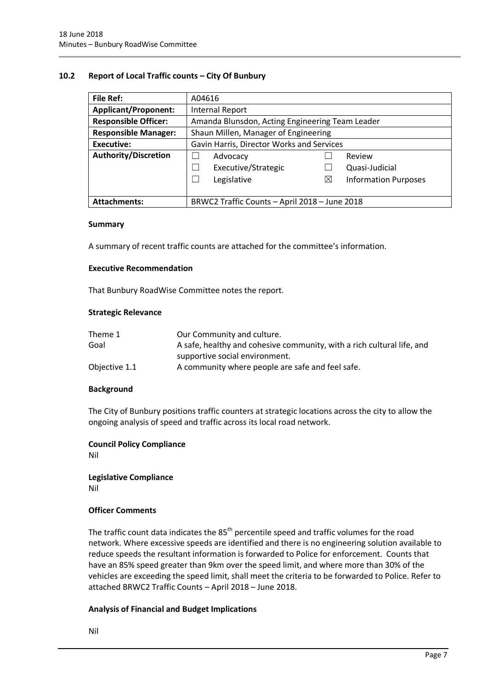#### <span id="page-6-0"></span>**10.2 Report of Local Traffic counts – City Of Bunbury**

| <b>File Ref:</b>                                                     | A04616                                          |  |  |
|----------------------------------------------------------------------|-------------------------------------------------|--|--|
| <b>Applicant/Proponent:</b>                                          | Internal Report                                 |  |  |
| <b>Responsible Officer:</b>                                          | Amanda Blunsdon, Acting Engineering Team Leader |  |  |
| <b>Responsible Manager:</b>                                          | Shaun Millen, Manager of Engineering            |  |  |
| <b>Executive:</b>                                                    | Gavin Harris, Director Works and Services       |  |  |
| <b>Authority/Discretion</b>                                          | Review<br>Advocacy                              |  |  |
|                                                                      | Executive/Strategic<br>Quasi-Judicial           |  |  |
|                                                                      | Legislative<br>⊠<br><b>Information Purposes</b> |  |  |
|                                                                      |                                                 |  |  |
| BRWC2 Traffic Counts - April 2018 - June 2018<br><b>Attachments:</b> |                                                 |  |  |

#### **Summary**

A summary of recent traffic counts are attached for the committee's information.

#### **Executive Recommendation**

That Bunbury RoadWise Committee notes the report.

#### **Strategic Relevance**

| Theme 1       | Our Community and culture.                                             |
|---------------|------------------------------------------------------------------------|
| Goal          | A safe, healthy and cohesive community, with a rich cultural life, and |
|               | supportive social environment.                                         |
| Objective 1.1 | A community where people are safe and feel safe.                       |

#### **Background**

The City of Bunbury positions traffic counters at strategic locations across the city to allow the ongoing analysis of speed and traffic across its local road network.

#### **Council Policy Compliance**

Nil

**Legislative Compliance** Nil

#### **Officer Comments**

The traffic count data indicates the  $85<sup>th</sup>$  percentile speed and traffic volumes for the road network. Where excessive speeds are identified and there is no engineering solution available to reduce speeds the resultant information is forwarded to Police for enforcement. Counts that have an 85% speed greater than 9km over the speed limit, and where more than 30% of the vehicles are exceeding the speed limit, shall meet the criteria to be forwarded to Police. Refer to attached BRWC2 Traffic Counts – April 2018 – June 2018.

#### **Analysis of Financial and Budget Implications**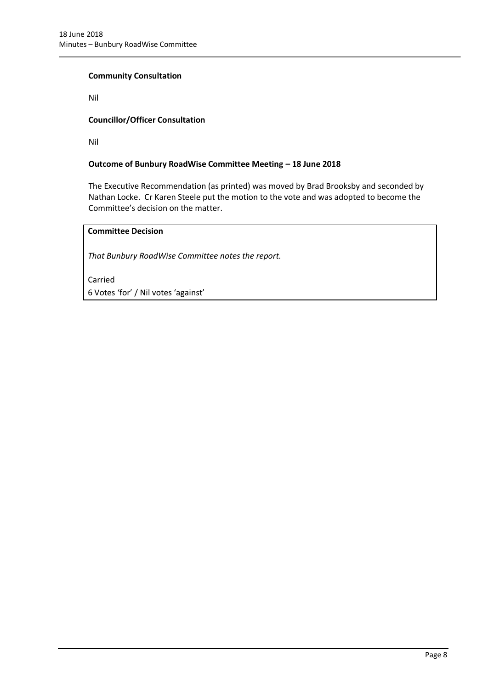#### **Community Consultation**

Nil

## **Councillor/Officer Consultation**

Nil

## **Outcome of Bunbury RoadWise Committee Meeting – 18 June 2018**

The Executive Recommendation (as printed) was moved by Brad Brooksby and seconded by Nathan Locke. Cr Karen Steele put the motion to the vote and was adopted to become the Committee's decision on the matter.

## **Committee Decision**

*That Bunbury RoadWise Committee notes the report.*

Carried 6 Votes 'for' / Nil votes 'against'